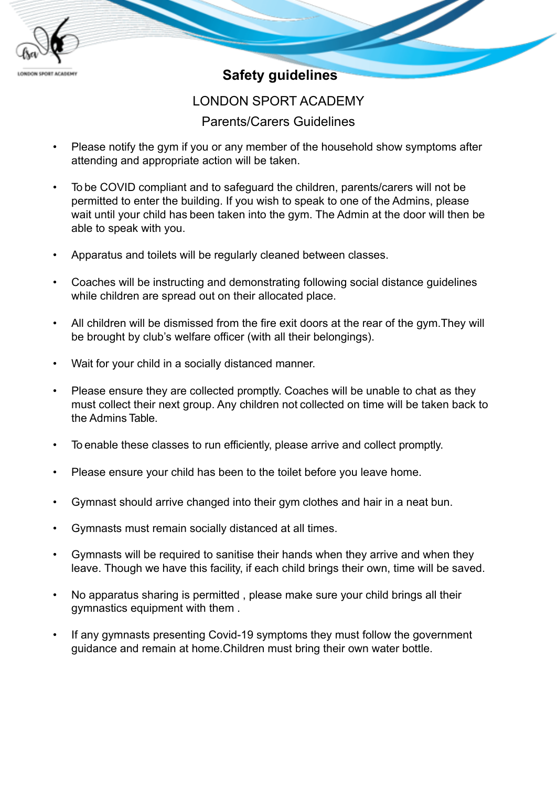

## **Safety guidelines**

## LONDON SPORT ACADEMY

## Parents/Carers Guidelines

- Please notify the gym if you or any member of the household show symptoms after attending and appropriate action will be taken.
- To be COVID compliant and to safeguard the children, parents/carers will not be permitted to enter the building. If you wish to speak to one of the Admins, please wait until your child has been taken into the gym. The Admin at the door will then be able to speak with you.
- Apparatus and toilets will be regularly cleaned between classes.
- Coaches will be instructing and demonstrating following social distance guidelines while children are spread out on their allocated place.
- All children will be dismissed from the fire exit doors at the rear of the gym.They will be brought by club's welfare officer (with all their belongings).
- Wait for your child in a socially distanced manner.
- Please ensure they are collected promptly. Coaches will be unable to chat as they must collect their next group. Any children not collected on time will be taken back to the Admins Table.
- To enable these classes to run efficiently, please arrive and collect promptly.
- Please ensure your child has been to the toilet before you leave home.
- Gymnast should arrive changed into their gym clothes and hair in a neat bun.
- Gymnasts must remain socially distanced at all times.
- Gymnasts will be required to sanitise their hands when they arrive and when they leave. Though we have this facility, if each child brings their own, time will be saved.
- No apparatus sharing is permitted , please make sure your child brings all their gymnastics equipment with them .
- If any gymnasts presenting Covid-19 symptoms they must follow the government guidance and remain at home.Children must bring their own water bottle.